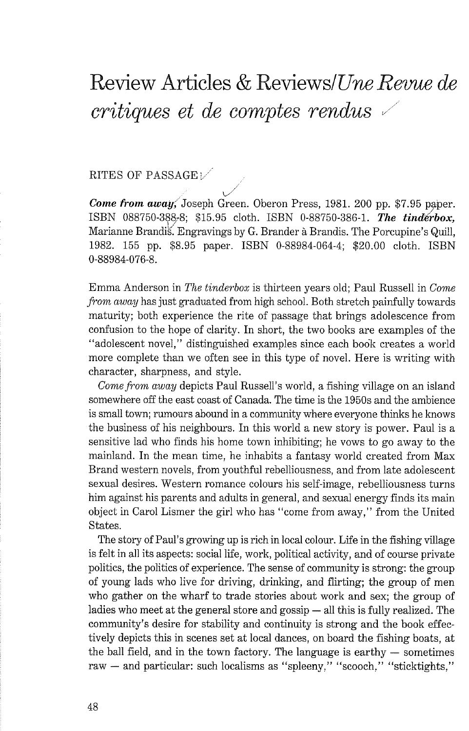## Review Articles & ReviewslUm *Revue de critiques et de comptes rendus*

## RITES OF PASSAGE  $\vee$

 $\swarrow$ *Come from* **away,** Joseph Green. Oberon Press, 1981. 200 pp. \$7.95 paper. ISBN 088750-388-8; \$15.95 cloth. ISBN 0-88750-386-1. *The tinderbox*, Marianne Brandis. Engravings by G. Brander à Brandis. The Porcupine's Quill, 1982. 155 pp. \$8.95 paper. ISBN 0-88984-064-4; \$20.00 cloth. ISBN 0-88984-076-8.

Emma Anderson in *The tinderbox* is thirteen years old; Paul Russell in *Come from* away has just graduated from high school. Both stretch paintidly towards maturity; both experience the rite of passage that brings adolescence from confusion to the hope of clarity. In short, the two books are examples of the "adolescent novel," distinguished examples since each book creates a world more complete than we often see in this type of novel. Here is writing with character, sharpness, and style.

*Come from* away depicts Paul Russell's world, a fishing village on an island somewhere off the east coast of Canada. The time is the 1950s and the ambience is small town; rumours abound in a community where everyone thinks he knows the business of his neighbours. In this world a new story is power. Paul is a sensitive lad who finds his home town inhibiting; he vows to go away to the mainland. In the mean time, he inhabits a fantasy world created from Max Brand western novels, from youthful rebelliousness, and from late adolescent sexual desires. Western romance colours his self-image, rebelliousness turns him against his parents and adults in general, and sexual energy finds its main object in Carol Lismer the girl who has "come from away," from the United States.

The story of Paul's growing up is rich in local colour. Life in the fishing village is felt in all its aspects: social life, work, political activity, and of course private politics, the politics of experience. The sense of community is strong: the group of young lads who live for driving, drinking, and flirting; the group of men who gather on the wharf to trade stories about work and sex; the group of ladies who meet at the general store and gossip — all this is fully realized. The community's desire for stability and continuity is strong and the book effectively depicts this in scenes set at local dances, on board the fishing boats, at the ball field, and in the town factory. The language is earthy — sometimes the ball field, and in the town factory. The language is earthy  $-$  sometimes raw  $-$  and particular: such localisms as "spleeny," "scooch," "sticktights,"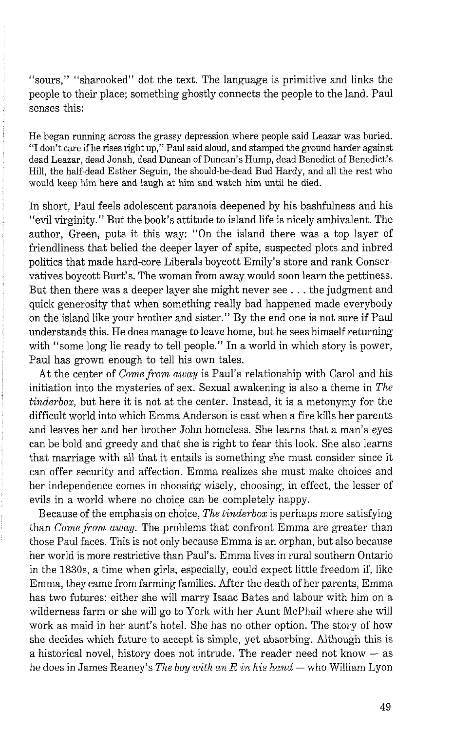"sours," "sharooked" dot the text. The language is primitive and links the people to their place; something ghostly connects the people to the land. Paul senses this:

He began running across the grassy depression where people said Leazar was buried. "I don't care if he rises right up," Paul said aloud, and stamped the ground harder against dead Leazar, dead Jonah, dead Duncan of Duncan's Hump, dead Benedict of Benedict's Hill, the half-dead Esther Seguin, the should-be-dead Bud Hardy, and all the rest who would keep him here and laugh at him and watch him until he died.

In short, Paul feels adolescent paranoia deepened by his bashfulness and his "evil virginity." But the book's attitude to island life is nicely ambivalent. The author, Green, puts it this way: "On the island there was a top layer of friendliness that belied the deeper layer of spite, suspected plots and inbred politics that made hard-core Liberals boycott Emily's store and rank Conservatives boycott Burt's. The woman from away would soon learn the pettiness. But then there was a deeper layer she might never see . . . the judgment and quick generosity that when something really bad happened made everybody on the island like your brother and sister." By the end one is not sure if Paul understands this. He does manage to leave home, but he sees himself returning with "some long lie ready to tell people." In a world in which story is power, Paul has grown enough to tell his own tales.

At the center of *Come from away* is Paul's relationship with Carol and his initiation into the mysteries of sex. Sexual awakening is also a theme in *The tinderbox,* but here it is not at the center. Instead, it is a metonymy for the difficult world into which Emma Anderson is cast when a fire kills her parents and leaves her and her brother John homeless. She learns that a man's eyes can be bold and greedy and that she is right to fear this look. She also learns that marriage with all that it entails is something she must consider since it can offer security and affection. Emma realizes she must make choices and her independence comes in choosing wisely, choosing, in effect, the lesser of evils in a world where no choice can be completely happy.

Because of the emphasis on choice, *The tinderbox* is perhaps more satisfying than *Come from away.* The problems that confront Emma are greater than those Paul faces. This is not only because Emma is an orphan, but also because her world is more restrictive than Paul's. Emma lives in rural southern Ontario in the 1830s, a time when girls, especially, could expect little freedom if, like Emma, they came from farming families. After the death of her parents, Emma has two futures: either she will marry Isaac Bates and labour with him on a wilderness farm or she will go to York with her Aunt McPhail where she will work as maid in her aunt's hotel. She has no other option. The story of how she decides which future to accept is simple, yet absorbing. Although this is she decides which future to accept is simple, yet absorbing. Although this is a historical novel, history does not intrude. The reader need not know  $-$  as a historical novel, history does not intrude. The reader need not know — as he does in James Reaney's *The boy with an R in his hand* — who William Lyon